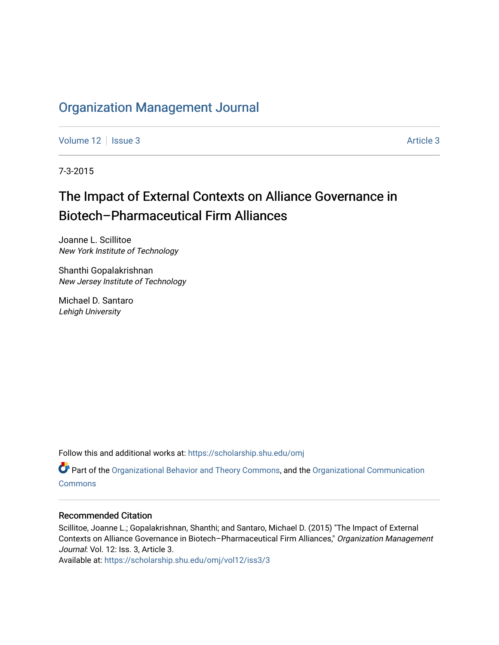## [Organization Management Journal](https://scholarship.shu.edu/omj)

[Volume 12](https://scholarship.shu.edu/omj/vol12) | [Issue 3](https://scholarship.shu.edu/omj/vol12/iss3) Article 3

7-3-2015

# The Impact of External Contexts on Alliance Governance in Biotech–Pharmaceutical Firm Alliances

Joanne L. Scillitoe New York Institute of Technology

Shanthi Gopalakrishnan New Jersey Institute of Technology

Michael D. Santaro Lehigh University

Follow this and additional works at: [https://scholarship.shu.edu/omj](https://scholarship.shu.edu/omj?utm_source=scholarship.shu.edu%2Fomj%2Fvol12%2Fiss3%2F3&utm_medium=PDF&utm_campaign=PDFCoverPages) 

Part of the [Organizational Behavior and Theory Commons,](http://network.bepress.com/hgg/discipline/639?utm_source=scholarship.shu.edu%2Fomj%2Fvol12%2Fiss3%2F3&utm_medium=PDF&utm_campaign=PDFCoverPages) and the [Organizational Communication](http://network.bepress.com/hgg/discipline/335?utm_source=scholarship.shu.edu%2Fomj%2Fvol12%2Fiss3%2F3&utm_medium=PDF&utm_campaign=PDFCoverPages) [Commons](http://network.bepress.com/hgg/discipline/335?utm_source=scholarship.shu.edu%2Fomj%2Fvol12%2Fiss3%2F3&utm_medium=PDF&utm_campaign=PDFCoverPages)

## Recommended Citation

Scillitoe, Joanne L.; Gopalakrishnan, Shanthi; and Santaro, Michael D. (2015) "The Impact of External Contexts on Alliance Governance in Biotech–Pharmaceutical Firm Alliances," Organization Management Journal: Vol. 12: Iss. 3, Article 3.

Available at: [https://scholarship.shu.edu/omj/vol12/iss3/3](https://scholarship.shu.edu/omj/vol12/iss3/3?utm_source=scholarship.shu.edu%2Fomj%2Fvol12%2Fiss3%2F3&utm_medium=PDF&utm_campaign=PDFCoverPages)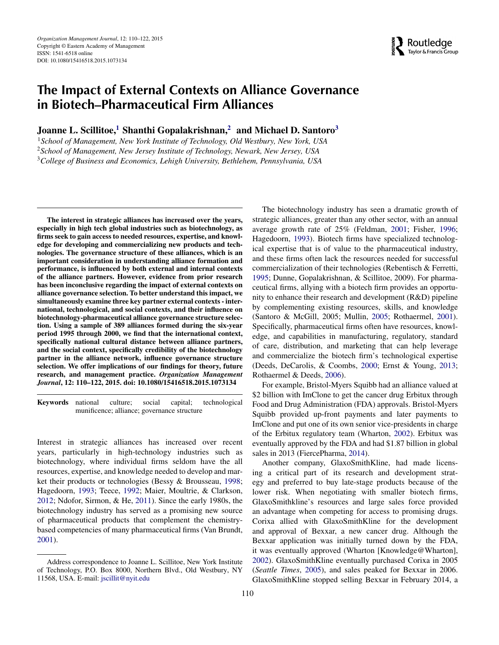

## **The Impact of External Contexts on Alliance Governance in Biotech–Pharmaceutical Firm Alliances**

**Joanne L. Scillitoe[,1](#page-1-0) Shanthi Gopalakrishnan[,2](#page-1-0) and Michael D. Santoro[3](#page-1-0)**

<span id="page-1-0"></span><sup>1</sup>*School of Management, New York Institute of Technology, Old Westbury, New York, USA* <sup>2</sup>*School of Management, New Jersey Institute of Technology, Newark, New Jersey, USA* <sup>3</sup>*College of Business and Economics, Lehigh University, Bethlehem, Pennsylvania, USA*

**The interest in strategic alliances has increased over the years, especially in high tech global industries such as biotechnology, as firms seek to gain access to needed resources, expertise, and knowledge for developing and commercializing new products and technologies. The governance structure of these alliances, which is an important consideration in understanding alliance formation and performance, is influenced by both external and internal contexts of the alliance partners. However, evidence from prior research has been inconclusive regarding the impact of external contexts on alliance governance selection. To better understand this impact, we simultaneously examine three key partner external contexts - international, technological, and social contexts, and their influence on biotechnology-pharmaceutical alliance governance structure selection. Using a sample of 389 alliances formed during the six-year period 1995 through 2000, we find that the international context, specifically national cultural distance between alliance partners, and the social context, specifically credibility of the biotechnology partner in the alliance network, influence governance structure selection. We offer implications of our findings for theory, future research, and management practice.** *Organization Management Journal***, 12: 110–122, 2015. doi: 10.1080/15416518.2015.1073134**

**Keywords** national culture; social capital; technological munificence; alliance; governance structure

Interest in strategic alliances has increased over recent years, particularly in high-technology industries such as biotechnology, where individual firms seldom have the all resources, expertise, and knowledge needed to develop and market their products or technologies (Bessy & Brousseau, [1998;](#page-10-0) Hagedoorn, [1993;](#page-11-0) Teece, [1992;](#page-12-0) Maier, Moultrie, & Clarkson, [2012;](#page-12-1) Ndofor, Sirmon, & He, [2011\)](#page-12-2). Since the early 1980s, the biotechnology industry has served as a promising new source of pharmaceutical products that complement the chemistrybased competencies of many pharmaceutical firms (Van Brundt, [2001\)](#page-12-3).

The biotechnology industry has seen a dramatic growth of strategic alliances, greater than any other sector, with an annual average growth rate of 25% (Feldman, [2001;](#page-11-1) Fisher, [1996;](#page-11-2) Hagedoorn, [1993\)](#page-11-0). Biotech firms have specialized technological expertise that is of value to the pharmaceutical industry, and these firms often lack the resources needed for successful commercialization of their technologies (Rebentisch & Ferretti, [1995;](#page-12-4) Dunne, Gopalakrishnan, & Scillitoe, 2009). For pharmaceutical firms, allying with a biotech firm provides an opportunity to enhance their research and development (R&D) pipeline by complementing existing resources, skills, and knowledge (Santoro & McGill, 2005; Mullin, [2005;](#page-12-5) Rothaermel, [2001\)](#page-12-6). Specifically, pharmaceutical firms often have resources, knowledge, and capabilities in manufacturing, regulatory, standard of care, distribution, and marketing that can help leverage and commercialize the biotech firm's technological expertise (Deeds, DeCarolis, & Coombs, [2000;](#page-11-3) Ernst & Young, [2013;](#page-11-4) Rothaermel & Deeds, [2006\)](#page-12-7).

For example, Bristol-Myers Squibb had an alliance valued at \$2 billion with ImClone to get the cancer drug Erbitux through Food and Drug Administration (FDA) approvals. Bristol-Myers Squibb provided up-front payments and later payments to ImClone and put one of its own senior vice-presidents in charge of the Erbitux regulatory team (Wharton, [2002\)](#page-12-8). Erbitux was eventually approved by the FDA and had \$1.87 billion in global sales in 2013 (FiercePharma, [2014\)](#page-11-5).

Another company, GlaxoSmithKline, had made licensing a critical part of its research and development strategy and preferred to buy late-stage products because of the lower risk. When negotiating with smaller biotech firms, GlaxoSmithkline's resources and large sales force provided an advantage when competing for access to promising drugs. Corixa allied with GlaxoSmithKline for the development and approval of Bexxar, a new cancer drug. Although the Bexxar application was initially turned down by the FDA, it was eventually approved (Wharton [Knowledge@Wharton], [2002\)](#page-12-8). GlaxoSmithKline eventually purchased Corixa in 2005 (*Seattle Times*, [2005\)](#page-12-9), and sales peaked for Bexxar in 2006. GlaxoSmithKline stopped selling Bexxar in February 2014, a

Address correspondence to Joanne L. Scillitoe, New York Institute of Technology, P.O. Box 8000, Northern Blvd., Old Westbury, NY 11568, USA. E-mail: [jscillit@nyit.edu](mailto:jscillit@nyit.edu)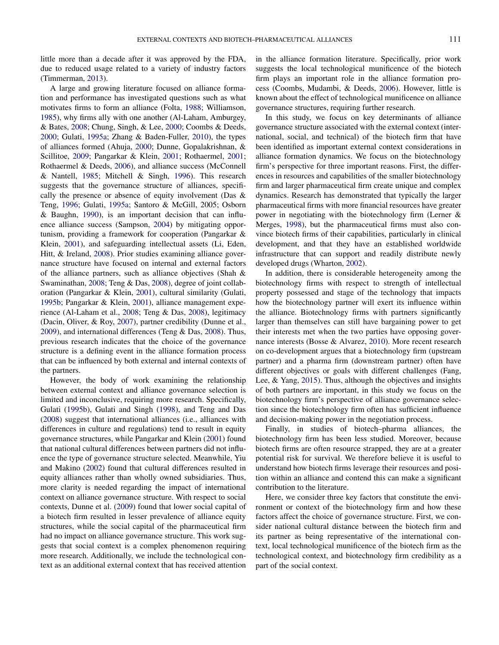little more than a decade after it was approved by the FDA, due to reduced usage related to a variety of industry factors (Timmerman, [2013\)](#page-12-10).

A large and growing literature focused on alliance formation and performance has investigated questions such as what motivates firms to form an alliance (Folta, [1988;](#page-11-6) Williamson, [1985\)](#page-12-11), why firms ally with one another (Al-Laham, Amburgey, & Bates, [2008;](#page-10-1) Chung, Singh, & Lee, [2000;](#page-11-7) Coombs & Deeds, [2000;](#page-11-8) Gulati, [1995a;](#page-11-9) Zhang & Baden-Fuller, [2010\)](#page-12-12), the types of alliances formed (Ahuja, [2000;](#page-10-2) Dunne, Gopalakrishnan, & Scillitoe, [2009;](#page-11-10) Pangarkar & Klein, [2001;](#page-12-13) Rothaermel, [2001;](#page-12-6) Rothaermel & Deeds, [2006\)](#page-12-7), and alliance success (McConnell & Nantell, [1985;](#page-12-14) Mitchell & Singh, [1996\)](#page-12-15). This research suggests that the governance structure of alliances, specifically the presence or absence of equity involvement (Das & Teng, [1996;](#page-11-11) Gulati, [1995a;](#page-11-9) Santoro & McGill, 2005; Osborn & Baughn, [1990\)](#page-12-16), is an important decision that can influence alliance success (Sampson, [2004\)](#page-12-17) by mitigating opportunism, providing a framework for cooperation (Pangarkar & Klein, [2001\)](#page-12-13), and safeguarding intellectual assets (Li, Eden, Hitt, & Ireland, [2008\)](#page-12-18). Prior studies examining alliance governance structure have focused on internal and external factors of the alliance partners, such as alliance objectives (Shah & Swaminathan, [2008;](#page-12-19) Teng & Das, [2008\)](#page-12-20), degree of joint collaboration (Pangarkar & Klein, [2001\)](#page-12-13), cultural similarity (Gulati, [1995b;](#page-11-12) Pangarkar & Klein, [2001\)](#page-12-13), alliance management experience (Al-Laham et al., [2008;](#page-10-1) Teng & Das, [2008\)](#page-12-20), legitimacy (Dacin, Oliver, & Roy, [2007\)](#page-11-13), partner credibility (Dunne et al., [2009\)](#page-11-10), and international differences (Teng & Das, [2008\)](#page-12-20). Thus, previous research indicates that the choice of the governance structure is a defining event in the alliance formation process that can be influenced by both external and internal contexts of the partners.

However, the body of work examining the relationship between external context and alliance governance selection is limited and inconclusive, requiring more research. Specifically, Gulati [\(1995b\)](#page-11-12), Gulati and Singh [\(1998\)](#page-11-14), and Teng and Das [\(2008\)](#page-12-20) suggest that international alliances (i.e., alliances with differences in culture and regulations) tend to result in equity governance structures, while Pangarkar and Klein [\(2001\)](#page-12-13) found that national cultural differences between partners did not influence the type of governance structure selected. Meanwhile, Yiu and Makino [\(2002\)](#page-12-21) found that cultural differences resulted in equity alliances rather than wholly owned subsidiaries. Thus, more clarity is needed regarding the impact of international context on alliance governance structure. With respect to social contexts, Dunne et al. [\(2009\)](#page-11-10) found that lower social capital of a biotech firm resulted in lesser prevalence of alliance equity structures, while the social capital of the pharmaceutical firm had no impact on alliance governance structure. This work suggests that social context is a complex phenomenon requiring more research. Additionally, we include the technological context as an additional external context that has received attention in the alliance formation literature. Specifically, prior work suggests the local technological munificence of the biotech firm plays an important role in the alliance formation process (Coombs, Mudambi, & Deeds, [2006\)](#page-11-15). However, little is known about the effect of technological munificence on alliance governance structures, requiring further research.

In this study, we focus on key determinants of alliance governance structure associated with the external context (international, social, and technical) of the biotech firm that have been identified as important external context considerations in alliance formation dynamics. We focus on the biotechnology firm's perspective for three important reasons. First, the differences in resources and capabilities of the smaller biotechnology firm and larger pharmaceutical firm create unique and complex dynamics. Research has demonstrated that typically the larger pharmaceutical firms with more financial resources have greater power in negotiating with the biotechnology firm (Lerner & Merges, [1998\)](#page-12-22), but the pharmaceutical firms must also convince biotech firms of their capabilities, particularly in clinical development, and that they have an established worldwide infrastructure that can support and readily distribute newly developed drugs (Wharton, [2002\)](#page-12-8).

In addition, there is considerable heterogeneity among the biotechnology firms with respect to strength of intellectual property possessed and stage of the technology that impacts how the biotechnology partner will exert its influence within the alliance. Biotechnology firms with partners significantly larger than themselves can still have bargaining power to get their interests met when the two parties have opposing governance interests (Bosse & Alvarez, [2010\)](#page-10-3). More recent research on co-development argues that a biotechnology firm (upstream partner) and a pharma firm (downstream partner) often have different objectives or goals with different challenges (Fang, Lee, & Yang, [2015\)](#page-11-16). Thus, although the objectives and insights of both partners are important, in this study we focus on the biotechnology firm's perspective of alliance governance selection since the biotechnology firm often has sufficient influence and decision-making power in the negotiation process.

Finally, in studies of biotech–pharma alliances, the biotechnology firm has been less studied. Moreover, because biotech firms are often resource strapped, they are at a greater potential risk for survival. We therefore believe it is useful to understand how biotech firms leverage their resources and position within an alliance and contend this can make a significant contribution to the literature.

Here, we consider three key factors that constitute the environment or context of the biotechnology firm and how these factors affect the choice of governance structure. First, we consider national cultural distance between the biotech firm and its partner as being representative of the international context, local technological munificence of the biotech firm as the technological context, and biotechnology firm credibility as a part of the social context.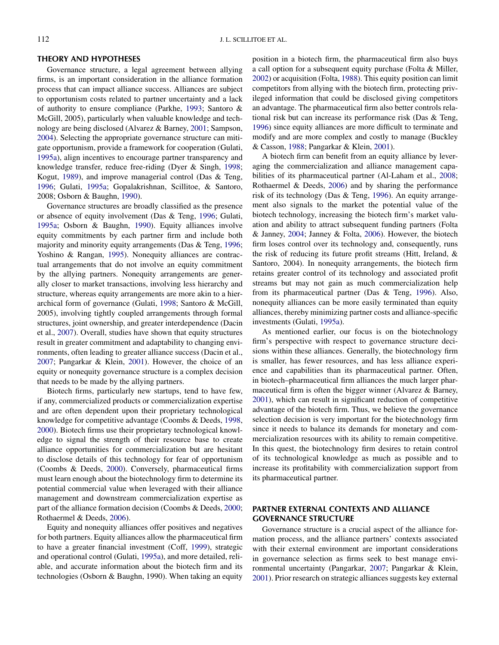#### **THEORY AND HYPOTHESES**

Governance structure, a legal agreement between allying firms, is an important consideration in the alliance formation process that can impact alliance success. Alliances are subject to opportunism costs related to partner uncertainty and a lack of authority to ensure compliance (Parkhe, [1993;](#page-12-23) Santoro & McGill, 2005), particularly when valuable knowledge and technology are being disclosed (Alvarez & Barney, [2001;](#page-10-4) Sampson, [2004\)](#page-12-17). Selecting the appropriate governance structure can mitigate opportunism, provide a framework for cooperation (Gulati, [1995a\)](#page-11-9), align incentives to encourage partner transparency and knowledge transfer, reduce free-riding (Dyer & Singh, [1998;](#page-11-17) Kogut, [1989\)](#page-12-24), and improve managerial control (Das & Teng, [1996;](#page-11-11) Gulati, [1995a;](#page-11-9) Gopalakrishnan, Scillitoe, & Santoro, 2008; Osborn & Baughn, [1990\)](#page-12-16).

Governance structures are broadly classified as the presence or absence of equity involvement (Das & Teng, [1996;](#page-11-11) Gulati, [1995a;](#page-11-9) Osborn & Baughn, [1990\)](#page-12-16). Equity alliances involve equity commitments by each partner firm and include both majority and minority equity arrangements (Das & Teng, [1996;](#page-11-11) Yoshino & Rangan, [1995\)](#page-12-25). Nonequity alliances are contractual arrangements that do not involve an equity commitment by the allying partners. Nonequity arrangements are generally closer to market transactions, involving less hierarchy and structure, whereas equity arrangements are more akin to a hierarchical form of governance (Gulati, [1998;](#page-11-18) Santoro & McGill, 2005), involving tightly coupled arrangements through formal structures, joint ownership, and greater interdependence (Dacin et al., [2007\)](#page-11-13). Overall, studies have shown that equity structures result in greater commitment and adaptability to changing environments, often leading to greater alliance success (Dacin et al., [2007;](#page-11-13) Pangarkar & Klein, [2001\)](#page-12-13). However, the choice of an equity or nonequity governance structure is a complex decision that needs to be made by the allying partners.

Biotech firms, particularly new startups, tend to have few, if any, commercialized products or commercialization expertise and are often dependent upon their proprietary technological knowledge for competitive advantage (Coombs & Deeds, [1998,](#page-11-19) [2000\)](#page-11-8). Biotech firms use their proprietary technological knowledge to signal the strength of their resource base to create alliance opportunities for commercialization but are hesitant to disclose details of this technology for fear of opportunism (Coombs & Deeds, [2000\)](#page-11-8). Conversely, pharmaceutical firms must learn enough about the biotechnology firm to determine its potential commercial value when leveraged with their alliance management and downstream commercialization expertise as part of the alliance formation decision (Coombs & Deeds, [2000;](#page-11-8) Rothaermel & Deeds, [2006\)](#page-12-7).

Equity and nonequity alliances offer positives and negatives for both partners. Equity alliances allow the pharmaceutical firm to have a greater financial investment (Coff, [1999\)](#page-11-20), strategic and operational control (Gulati, [1995a\)](#page-11-9), and more detailed, reliable, and accurate information about the biotech firm and its technologies (Osborn & Baughn, 1990). When taking an equity

position in a biotech firm, the pharmaceutical firm also buys a call option for a subsequent equity purchase (Folta & Miller, [2002\)](#page-11-21) or acquisition (Folta, [1988\)](#page-11-6). This equity position can limit competitors from allying with the biotech firm, protecting privileged information that could be disclosed giving competitors an advantage. The pharmaceutical firm also better controls relational risk but can increase its performance risk (Das & Teng, [1996\)](#page-11-11) since equity alliances are more difficult to terminate and modify and are more complex and costly to manage (Buckley & Casson, [1988;](#page-11-22) Pangarkar & Klein, [2001\)](#page-12-13).

A biotech firm can benefit from an equity alliance by leveraging the commercialization and alliance management capabilities of its pharmaceutical partner (Al-Laham et al., [2008;](#page-10-1) Rothaermel & Deeds, [2006\)](#page-12-7) and by sharing the performance risk of its technology (Das & Teng, [1996\)](#page-11-11). An equity arrangement also signals to the market the potential value of the biotech technology, increasing the biotech firm's market valuation and ability to attract subsequent funding partners (Folta & Janney, [2004;](#page-11-23) Janney & Folta, [2006\)](#page-12-26). However, the biotech firm loses control over its technology and, consequently, runs the risk of reducing its future profit streams (Hitt, Ireland, & Santoro, 2004). In nonequity arrangements, the biotech firm retains greater control of its technology and associated profit streams but may not gain as much commercialization help from its pharmaceutical partner (Das & Teng, [1996\)](#page-11-11). Also, nonequity alliances can be more easily terminated than equity alliances, thereby minimizing partner costs and alliance-specific investments (Gulati, [1995a\)](#page-11-9).

As mentioned earlier, our focus is on the biotechnology firm's perspective with respect to governance structure decisions within these alliances. Generally, the biotechnology firm is smaller, has fewer resources, and has less alliance experience and capabilities than its pharmaceutical partner. Often, in biotech–pharmaceutical firm alliances the much larger pharmaceutical firm is often the bigger winner (Alvarez & Barney, [2001\)](#page-10-4), which can result in significant reduction of competitive advantage of the biotech firm. Thus, we believe the governance selection decision is very important for the biotechnology firm since it needs to balance its demands for monetary and commercialization resources with its ability to remain competitive. In this quest, the biotechnology firm desires to retain control of its technological knowledge as much as possible and to increase its profitability with commercialization support from its pharmaceutical partner.

## **PARTNER EXTERNAL CONTEXTS AND ALLIANCE GOVERNANCE STRUCTURE**

Governance structure is a crucial aspect of the alliance formation process, and the alliance partners' contexts associated with their external environment are important considerations in governance selection as firms seek to best manage environmental uncertainty (Pangarkar, [2007;](#page-12-27) Pangarkar & Klein, [2001\)](#page-12-13). Prior research on strategic alliances suggests key external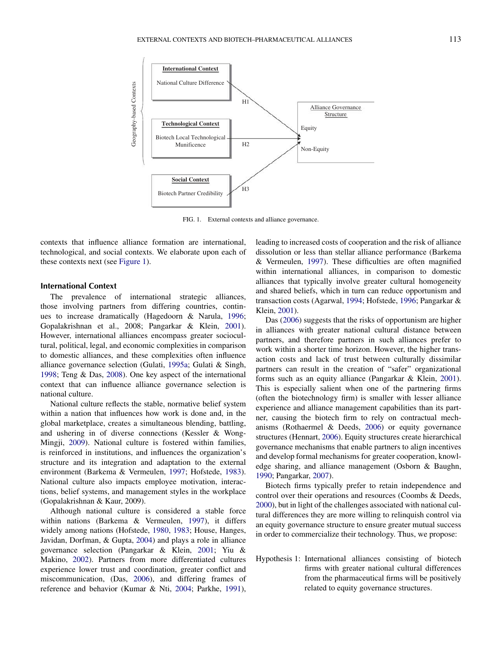<span id="page-4-0"></span>

FIG. 1. External contexts and alliance governance.

contexts that influence alliance formation are international, technological, and social contexts. We elaborate upon each of these contexts next (see [Figure 1\)](#page-4-0).

## **International Context**

The prevalence of international strategic alliances, those involving partners from differing countries, continues to increase dramatically (Hagedoorn & Narula, [1996;](#page-11-24) Gopalakrishnan et al., 2008; Pangarkar & Klein, [2001\)](#page-12-13). However, international alliances encompass greater sociocultural, political, legal, and economic complexities in comparison to domestic alliances, and these complexities often influence alliance governance selection (Gulati, [1995a;](#page-11-9) Gulati & Singh, [1998;](#page-11-14) Teng & Das, [2008\)](#page-12-20). One key aspect of the international context that can influence alliance governance selection is national culture.

National culture reflects the stable, normative belief system within a nation that influences how work is done and, in the global marketplace, creates a simultaneous blending, battling, and ushering in of diverse connections (Kessler & Wong-Mingji, [2009\)](#page-12-28). National culture is fostered within families, is reinforced in institutions, and influences the organization's structure and its integration and adaptation to the external environment (Barkema & Vermeulen, [1997;](#page-10-5) Hofstede, [1983\)](#page-11-25). National culture also impacts employee motivation, interactions, belief systems, and management styles in the workplace (Gopalakrishnan & Kaur, 2009).

Although national culture is considered a stable force within nations (Barkema & Vermeulen, [1997\)](#page-10-5), it differs widely among nations (Hofstede, [1980,](#page-11-26) [1983;](#page-11-25) House, Hanges, Javidan, Dorfman, & Gupta, [2004\)](#page-11-27) and plays a role in alliance governance selection (Pangarkar & Klein, [2001;](#page-12-13) Yiu & Makino, [2002\)](#page-12-21). Partners from more differentiated cultures experience lower trust and coordination, greater conflict and miscommunication, (Das, [2006\)](#page-11-28), and differing frames of reference and behavior (Kumar & Nti, [2004;](#page-12-29) Parkhe, [1991\)](#page-12-30), leading to increased costs of cooperation and the risk of alliance dissolution or less than stellar alliance performance (Barkema & Vermeulen, [1997\)](#page-10-5). These difficulties are often magnified within international alliances, in comparison to domestic alliances that typically involve greater cultural homogeneity and shared beliefs, which in turn can reduce opportunism and transaction costs (Agarwal, [1994;](#page-10-6) Hofstede, [1996;](#page-11-29) Pangarkar & Klein, [2001\)](#page-12-13).

Das [\(2006\)](#page-11-28) suggests that the risks of opportunism are higher in alliances with greater national cultural distance between partners, and therefore partners in such alliances prefer to work within a shorter time horizon. However, the higher transaction costs and lack of trust between culturally dissimilar partners can result in the creation of "safer" organizational forms such as an equity alliance (Pangarkar & Klein, [2001\)](#page-12-13). This is especially salient when one of the partnering firms (often the biotechnology firm) is smaller with lesser alliance experience and alliance management capabilities than its partner, causing the biotech firm to rely on contractual mechanisms (Rothaermel & Deeds, [2006\)](#page-12-7) or equity governance structures (Hennart, [2006\)](#page-11-30). Equity structures create hierarchical governance mechanisms that enable partners to align incentives and develop formal mechanisms for greater cooperation, knowledge sharing, and alliance management (Osborn & Baughn, [1990;](#page-12-16) Pangarkar, [2007\)](#page-12-27).

Biotech firms typically prefer to retain independence and control over their operations and resources (Coombs & Deeds, [2000\)](#page-11-8), but in light of the challenges associated with national cultural differences they are more willing to relinquish control via an equity governance structure to ensure greater mutual success in order to commercialize their technology. Thus, we propose:

Hypothesis 1: International alliances consisting of biotech firms with greater national cultural differences from the pharmaceutical firms will be positively related to equity governance structures.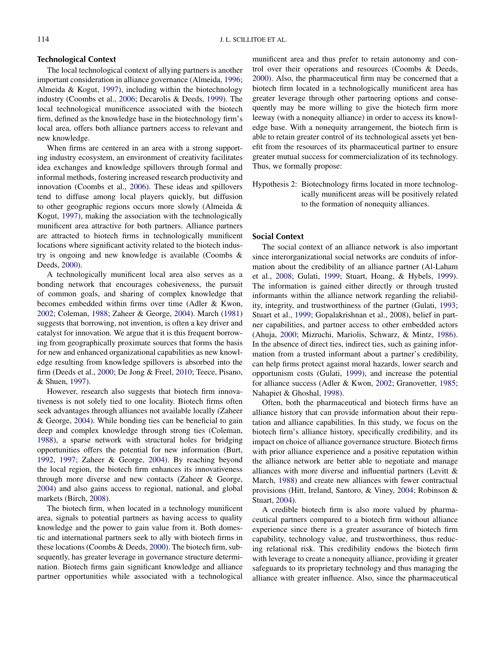## **Technological Context**

The local technological context of allying partners is another important consideration in alliance governance (Almeida, [1996;](#page-10-7) Almeida & Kogut, [1997\)](#page-10-8), including within the biotechnology industry (Coombs et al., [2006;](#page-11-15) Decarolis & Deeds, [1999\)](#page-11-31). The local technological munificence associated with the biotech firm, defined as the knowledge base in the biotechnology firm's local area, offers both alliance partners access to relevant and new knowledge.

When firms are centered in an area with a strong supporting industry ecosystem, an environment of creativity facilitates idea exchanges and knowledge spillovers through formal and informal methods, fostering increased research productivity and innovation (Coombs et al., [2006\)](#page-11-15). These ideas and spillovers tend to diffuse among local players quickly, but diffusion to other geographic regions occurs more slowly (Almeida & Kogut, [1997\)](#page-10-8), making the association with the technologically munificent area attractive for both partners. Alliance partners are attracted to biotech firms in technologically munificent locations where significant activity related to the biotech industry is ongoing and new knowledge is available (Coombs & Deeds, [2000\)](#page-11-8).

A technologically munificent local area also serves as a bonding network that encourages cohesiveness, the pursuit of common goals, and sharing of complex knowledge that becomes embedded within firms over time (Adler & Kwon, [2002;](#page-10-9) Coleman, [1988;](#page-11-32) Zaheer & George, [2004\)](#page-12-31). March [\(1981\)](#page-12-32) suggests that borrowing, not invention, is often a key driver and catalyst for innovation. We argue that it is this frequent borrowing from geographically proximate sources that forms the basis for new and enhanced organizational capabilities as new knowledge resulting from knowledge spillovers is absorbed into the firm (Deeds et al., [2000;](#page-11-3) De Jong & Freel, [2010;](#page-11-33) Teece, Pisano, & Shuen, [1997\)](#page-12-33).

However, research also suggests that biotech firm innovativeness is not solely tied to one locality. Biotech firms often seek advantages through alliances not available locally (Zaheer & George, [2004\)](#page-12-31). While bonding ties can be beneficial to gain deep and complex knowledge through strong ties (Coleman, [1988\)](#page-11-32), a sparse network with structural holes for bridging opportunities offers the potential for new information (Burt, [1992,](#page-11-34) [1997;](#page-11-35) Zaheer & George, [2004\)](#page-12-31). By reaching beyond the local region, the biotech firm enhances its innovativeness through more diverse and new contacts (Zaheer & George, [2004\)](#page-12-31) and also gains access to regional, national, and global markets (Birch, [2008\)](#page-10-10).

The biotech firm, when located in a technology munificent area, signals to potential partners as having access to quality knowledge and the power to gain value from it. Both domestic and international partners seek to ally with biotech firms in these locations (Coombs & Deeds, [2000\)](#page-11-8). The biotech firm, subsequently, has greater leverage in governance structure determination. Biotech firms gain significant knowledge and alliance partner opportunities while associated with a technological

munificent area and thus prefer to retain autonomy and control over their operations and resources (Coombs & Deeds, [2000\)](#page-11-8). Also, the pharmaceutical firm may be concerned that a biotech firm located in a technologically munificent area has greater leverage through other partnering options and consequently may be more willing to give the biotech firm more leeway (with a nonequity alliance) in order to access its knowledge base. With a nonequity arrangement, the biotech firm is able to retain greater control of its technological assets yet benefit from the resources of its pharmaceutical partner to ensure greater mutual success for commercialization of its technology. Thus, we formally propose:

Hypothesis 2: Biotechnology firms located in more technologically munificent areas will be positively related to the formation of nonequity alliances.

## **Social Context**

The social context of an alliance network is also important since interorganizational social networks are conduits of information about the credibility of an alliance partner (Al-Laham et al., [2008;](#page-10-1) Gulati, [1999;](#page-11-36) Stuart, Hoang, & Hybels, [1999\)](#page-12-34). The information is gained either directly or through trusted informants within the alliance network regarding the reliability, integrity, and trustworthiness of the partner (Gulati, [1993;](#page-11-37) Stuart et al., [1999;](#page-12-34) Gopalakrishnan et al., 2008), belief in partner capabilities, and partner access to other embedded actors (Ahuja, [2000;](#page-10-2) Mizruchi, Mariolis, Schwarz, & Mintz, [1986\)](#page-12-35). In the absence of direct ties, indirect ties, such as gaining information from a trusted informant about a partner's credibility, can help firms protect against moral hazards, lower search and opportunism costs (Gulati, [1999\)](#page-11-36), and increase the potential for alliance success (Adler & Kwon, [2002;](#page-10-9) Granovetter, [1985;](#page-11-38) Nahapiet & Ghoshal, [1998\)](#page-12-36).

Often, both the pharmaceutical and biotech firms have an alliance history that can provide information about their reputation and alliance capabilities. In this study, we focus on the biotech firm's alliance history, specifically credibility, and its impact on choice of alliance governance structure. Biotech firms with prior alliance experience and a positive reputation within the alliance network are better able to negotiate and manage alliances with more diverse and influential partners (Levitt & March, [1988\)](#page-12-37) and create new alliances with fewer contractual provisions (Hitt, Ireland, Santoro, & Viney, [2004;](#page-11-39) Robinson & Stuart, [2004\)](#page-12-38).

A credible biotech firm is also more valued by pharmaceutical partners compared to a biotech firm without alliance experience since there is a greater assurance of biotech firm capability, technology value, and trustworthiness, thus reducing relational risk. This credibility endows the biotech firm with leverage to create a nonequity alliance, providing it greater safeguards to its proprietary technology and thus managing the alliance with greater influence. Also, since the pharmaceutical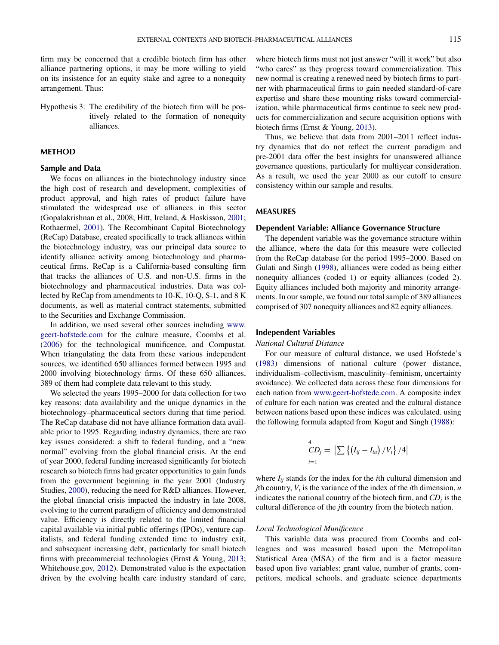firm may be concerned that a credible biotech firm has other alliance partnering options, it may be more willing to yield on its insistence for an equity stake and agree to a nonequity arrangement. Thus:

Hypothesis 3: The credibility of the biotech firm will be positively related to the formation of nonequity alliances.

## **METHOD**

#### **Sample and Data**

We focus on alliances in the biotechnology industry since the high cost of research and development, complexities of product approval, and high rates of product failure have stimulated the widespread use of alliances in this sector (Gopalakrishnan et al., 2008; Hitt, Ireland, & Hoskisson, [2001;](#page-11-40) Rothaermel, [2001\)](#page-12-6). The Recombinant Capital Biotechnology (ReCap) Database, created specifically to track alliances within the biotechnology industry, was our principal data source to identify alliance activity among biotechnology and pharmaceutical firms. ReCap is a California-based consulting firm that tracks the alliances of U.S. and non-U.S. firms in the biotechnology and pharmaceutical industries. Data was collected by ReCap from amendments to 10-K, 10-Q, S-1, and 8 K documents, as well as material contract statements, submitted to the Securities and Exchange Commission.

In addition, we used several other sources including [www.](www.geert-hofstede.com) [geert-hofstede.com](www.geert-hofstede.com) for the culture measure, Coombs et al. [\(2006\)](#page-11-15) for the technological munificence, and Compustat. When triangulating the data from these various independent sources, we identified 650 alliances formed between 1995 and 2000 involving biotechnology firms. Of these 650 alliances, 389 of them had complete data relevant to this study.

We selected the years 1995–2000 for data collection for two key reasons: data availability and the unique dynamics in the biotechnology–pharmaceutical sectors during that time period. The ReCap database did not have alliance formation data available prior to 1995. Regarding industry dynamics, there are two key issues considered: a shift to federal funding, and a "new normal" evolving from the global financial crisis. At the end of year 2000, federal funding increased significantly for biotech research so biotech firms had greater opportunities to gain funds from the government beginning in the year 2001 (Industry Studies, [2000\)](#page-11-41), reducing the need for R&D alliances. However, the global financial crisis impacted the industry in late 2008, evolving to the current paradigm of efficiency and demonstrated value. Efficiency is directly related to the limited financial capital available via initial public offerings (IPOs), venture capitalists, and federal funding extended time to industry exit, and subsequent increasing debt, particularly for small biotech firms with precommercial technologies (Ernst & Young, [2013;](#page-11-4) Whitehouse.gov, [2012\)](#page-12-39). Demonstrated value is the expectation driven by the evolving health care industry standard of care,

where biotech firms must not just answer "will it work" but also "who cares" as they progress toward commercialization. This new normal is creating a renewed need by biotech firms to partner with pharmaceutical firms to gain needed standard-of-care expertise and share these mounting risks toward commercialization, while pharmaceutical firms continue to seek new products for commercialization and secure acquisition options with biotech firms (Ernst & Young, [2013\)](#page-11-4).

Thus, we believe that data from 2001–2011 reflect industry dynamics that do not reflect the current paradigm and pre-2001 data offer the best insights for unanswered alliance governance questions, particularly for multiyear consideration. As a result, we used the year 2000 as our cutoff to ensure consistency within our sample and results.

#### **MEASURES**

## **Dependent Variable: Alliance Governance Structure**

The dependent variable was the governance structure within the alliance, where the data for this measure were collected from the ReCap database for the period 1995–2000. Based on Gulati and Singh [\(1998\)](#page-11-14), alliances were coded as being either nonequity alliances (coded 1) or equity alliances (coded 2). Equity alliances included both majority and minority arrangements. In our sample, we found our total sample of 389 alliances comprised of 307 nonequity alliances and 82 equity alliances.

## **Independent Variables**

#### *National Cultural Distance*

For our measure of cultural distance, we used Hofstede's [\(1983\)](#page-11-25) dimensions of national culture (power distance, individualism–collectivism, masculinity–feminism, uncertainty avoidance). We collected data across these four dimensions for each nation from [www.geert-hofstede.com.](www.geert-hofstede.com) A composite index of culture for each nation was created and the cultural distance between nations based upon these indices was calculated. using the following formula adapted from Kogut and Singh [\(1988\)](#page-12-40):

$$
CD_j = \left| \sum \left\{ \left( I_{ij} - I_{iu} \right) / V_i \right\} / 4 \right|
$$

where  $I_{ij}$  stands for the index for the *i*th cultural dimension and *j*th country,  $V_i$  is the variance of the index of the *i*th dimension,  $u$ indicates the national country of the biotech firm, and  $CD<sub>j</sub>$  is the cultural difference of the *j*th country from the biotech nation.

## *Local Technological Munificence*

This variable data was procured from Coombs and colleagues and was measured based upon the Metropolitan Statistical Area (MSA) of the firm and is a factor measure based upon five variables: grant value, number of grants, competitors, medical schools, and graduate science departments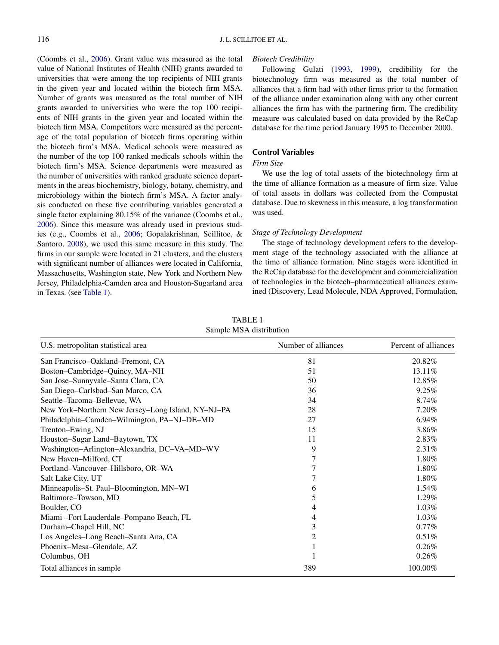(Coombs et al., [2006\)](#page-11-15). Grant value was measured as the total value of National Institutes of Health (NIH) grants awarded to universities that were among the top recipients of NIH grants in the given year and located within the biotech firm MSA. Number of grants was measured as the total number of NIH grants awarded to universities who were the top 100 recipients of NIH grants in the given year and located within the biotech firm MSA. Competitors were measured as the percentage of the total population of biotech firms operating within the biotech firm's MSA. Medical schools were measured as the number of the top 100 ranked medicals schools within the biotech firm's MSA. Science departments were measured as the number of universities with ranked graduate science departments in the areas biochemistry, biology, botany, chemistry, and microbiology within the biotech firm's MSA. A factor analysis conducted on these five contributing variables generated a single factor explaining 80.15% of the variance (Coombs et al., [2006\)](#page-11-15). Since this measure was already used in previous studies (e.g., Coombs et al., [2006;](#page-11-15) Gopalakrishnan, Scillitoe, & Santoro, [2008\)](#page-11-42), we used this same measure in this study. The firms in our sample were located in 21 clusters, and the clusters with significant number of alliances were located in California, Massachusetts, Washington state, New York and Northern New Jersey, Philadelphia-Camden area and Houston-Sugarland area in Texas. (see [Table 1\)](#page-7-0).

#### *Biotech Credibility*

Following Gulati [\(1993,](#page-11-37) [1999\)](#page-11-36), credibility for the biotechnology firm was measured as the total number of alliances that a firm had with other firms prior to the formation of the alliance under examination along with any other current alliances the firm has with the partnering firm. The credibility measure was calculated based on data provided by the ReCap database for the time period January 1995 to December 2000.

## **Control Variables**

## *Firm Size*

We use the log of total assets of the biotechnology firm at the time of alliance formation as a measure of firm size. Value of total assets in dollars was collected from the Compustat database. Due to skewness in this measure, a log transformation was used.

#### *Stage of Technology Development*

The stage of technology development refers to the development stage of the technology associated with the alliance at the time of alliance formation. Nine stages were identified in the ReCap database for the development and commercialization of technologies in the biotech–pharmaceutical alliances examined (Discovery, Lead Molecule, NDA Approved, Formulation,

| Sample MSA distribution                            |                     |                      |  |  |  |
|----------------------------------------------------|---------------------|----------------------|--|--|--|
| U.S. metropolitan statistical area                 | Number of alliances | Percent of alliances |  |  |  |
| San Francisco-Oakland-Fremont, CA                  | 81                  | 20.82%               |  |  |  |
| Boston-Cambridge-Quincy, MA-NH                     | 51                  | 13.11%               |  |  |  |
| San Jose-Sunnyvale-Santa Clara, CA                 | 50                  | 12.85%               |  |  |  |
| San Diego-Carlsbad-San Marco, CA                   | 36                  | 9.25%                |  |  |  |
| Seattle-Tacoma-Bellevue, WA                        | 34                  | 8.74%                |  |  |  |
| New York-Northern New Jersey-Long Island, NY-NJ-PA | 28                  | 7.20%                |  |  |  |
| Philadelphia-Camden-Wilmington, PA-NJ-DE-MD        | 27                  | 6.94%                |  |  |  |
| Trenton-Ewing, NJ                                  | 15                  | 3.86%                |  |  |  |
| Houston-Sugar Land-Baytown, TX                     | 11                  | 2.83%                |  |  |  |
| Washington-Arlington-Alexandria, DC-VA-MD-WV       | 9                   | 2.31%                |  |  |  |
| New Haven-Milford, CT                              |                     | 1.80%                |  |  |  |
| Portland-Vancouver-Hillsboro, OR-WA                |                     | 1.80%                |  |  |  |
| Salt Lake City, UT                                 | 7                   | 1.80%                |  |  |  |
| Minneapolis-St. Paul-Bloomington, MN-WI            | 6                   | 1.54%                |  |  |  |
| Baltimore-Towson, MD                               | 5                   | 1.29%                |  |  |  |
| Boulder, CO                                        | 4                   | 1.03%                |  |  |  |
| Miami - Fort Lauderdale-Pompano Beach, FL          | 4                   | 1.03%                |  |  |  |
| Durham-Chapel Hill, NC                             | 3                   | $0.77\%$             |  |  |  |
| Los Angeles-Long Beach-Santa Ana, CA               | 2                   | 0.51%                |  |  |  |
| Phoenix-Mesa-Glendale, AZ                          |                     | 0.26%                |  |  |  |
| Columbus, OH                                       |                     | 0.26%                |  |  |  |
| Total alliances in sample                          | 389                 | 100.00%              |  |  |  |

<span id="page-7-0"></span>TABLE 1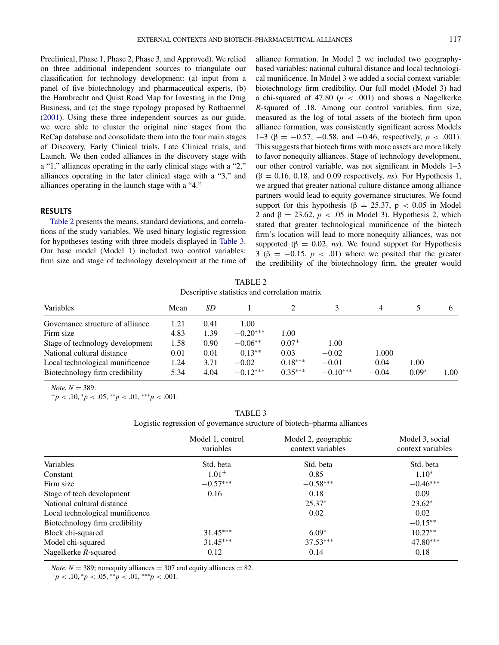Preclinical, Phase 1, Phase 2, Phase 3, and Approved). We relied on three additional independent sources to triangulate our classification for technology development: (a) input from a panel of five biotechnology and pharmaceutical experts, (b) the Hambrecht and Quist Road Map for Investing in the Drug Business, and (c) the stage typology proposed by Rothaermel [\(2001\)](#page-12-6). Using these three independent sources as our guide, we were able to cluster the original nine stages from the ReCap database and consolidate them into the four main stages of Discovery, Early Clinical trials, Late Clinical trials, and Launch. We then coded alliances in the discovery stage with a "1," alliances operating in the early clinical stage with a "2," alliances operating in the later clinical stage with a "3," and alliances operating in the launch stage with a "4."

#### **RESULTS**

[Table 2](#page-8-0) presents the means, standard deviations, and correlations of the study variables. We used binary logistic regression for hypotheses testing with three models displayed in [Table 3.](#page-8-1) Our base model (Model 1) included two control variables: firm size and stage of technology development at the time of

alliance formation. In Model 2 we included two geographybased variables: national cultural distance and local technological munificence. In Model 3 we added a social context variable: biotechnology firm credibility. Our full model (Model 3) had a chi-squared of 47.80 ( $p < .001$ ) and shows a Nagelkerke *R*-squared of .18. Among our control variables, firm size, measured as the log of total assets of the biotech firm upon alliance formation, was consistently significant across Models 1–3 (β = −0.57, −0.58, and −0.46, respectively,  $p$  < .001). This suggests that biotech firms with more assets are more likely to favor nonequity alliances. Stage of technology development, our other control variable, was not significant in Models 1–3  $(\beta = 0.16, 0.18, \text{ and } 0.09 \text{ respectively, } ns)$ . For Hypothesis 1, we argued that greater national culture distance among alliance partners would lead to equity governance structures. We found support for this hypothesis ( $\beta = 25.37$ ,  $p < 0.05$  in Model 2 and  $\beta = 23.62$ ,  $p < .05$  in Model 3). Hypothesis 2, which stated that greater technological munificence of the biotech firm's location will lead to more nonequity alliances, was not supported ( $\beta = 0.02$ , *ns*). We found support for Hypothesis 3 ( $\beta = -0.15$ ,  $p < .01$ ) where we posited that the greater the credibility of the biotechnology firm, the greater would

<span id="page-8-0"></span>TABLE 2 Descriptive statistics and correlation matrix

| Variables                        | Mean | SD   |            |            |            | 4       |         | $\mathbf{a}$ |
|----------------------------------|------|------|------------|------------|------------|---------|---------|--------------|
| Governance structure of alliance | 1.21 | 0.41 | 1.00       |            |            |         |         |              |
| Firm size                        | 4.83 | 1.39 | $-0.20***$ | 1.00       |            |         |         |              |
| Stage of technology development  | 1.58 | 0.90 | $-0.06**$  | $0.07^{+}$ | 1.00       |         |         |              |
| National cultural distance       | 0.01 | 0.01 | $0.13**$   | 0.03       | $-0.02$    | 1.000   |         |              |
| Local technological munificence  | 1.24 | 3.71 | $-0.02$    | $0.18***$  | $-0.01$    | 0.04    | 1.00    |              |
| Biotechnology firm credibility   | 5.34 | 4.04 | $-0.12***$ | $0.35***$  | $-0.10***$ | $-0.04$ | $0.09*$ | 00.1         |

 $Note. N = 389.$ 

 $^{+}p$  < .10,  $^{*}p$  < .05,  $^{*}p$  < .01,  $^{***}p$  < .001.

<span id="page-8-1"></span>TABLE 3

Logistic regression of governance structure of biotech–pharma alliances

|                                 | Model 1, control<br>variables | Model 2, geographic<br>context variables | Model 3, social<br>context variables |
|---------------------------------|-------------------------------|------------------------------------------|--------------------------------------|
| Variables                       | Std. beta                     | Std. beta                                | Std. beta                            |
| Constant                        | $1.01+$                       | 0.85                                     | $1.10*$                              |
| Firm size                       | $-0.57***$                    | $-0.58***$                               | $-0.46***$                           |
| Stage of tech development       | 0.16                          | 0.18                                     | 0.09                                 |
| National cultural distance      |                               | $25.37*$                                 | $23.62*$                             |
| Local technological munificence |                               | 0.02                                     | 0.02                                 |
| Biotechnology firm credibility  |                               |                                          | $-0.15**$                            |
| Block chi-squared               | $31.45***$                    | $6.09*$                                  | $10.27**$                            |
| Model chi-squared               | $31.45***$                    | $37.53***$                               | $47.80***$                           |
| Nagelkerke R-squared            | 0.12                          | 0.14                                     | 0.18                                 |

*Note.*  $N = 389$ ; nonequity alliances = 307 and equity alliances = 82.

 $^{+}p$  < .10,  $^{*}p$  < .05,  $^{*}p$  < .01,  $^{***}p$  < .001.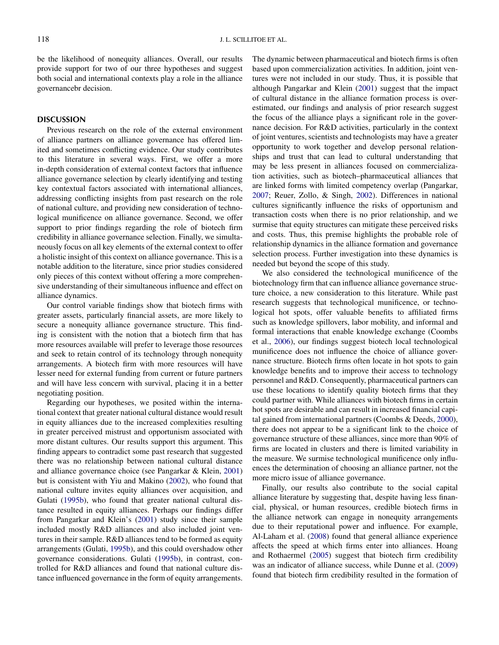be the likelihood of nonequity alliances. Overall, our results provide support for two of our three hypotheses and suggest both social and international contexts play a role in the alliance governancebr decision.

## **DISCUSSION**

Previous research on the role of the external environment of alliance partners on alliance governance has offered limited and sometimes conflicting evidence. Our study contributes to this literature in several ways. First, we offer a more in-depth consideration of external context factors that influence alliance governance selection by clearly identifying and testing key contextual factors associated with international alliances, addressing conflicting insights from past research on the role of national culture, and providing new consideration of technological munificence on alliance governance. Second, we offer support to prior findings regarding the role of biotech firm credibility in alliance governance selection. Finally, we simultaneously focus on all key elements of the external context to offer a holistic insight of this context on alliance governance. This is a notable addition to the literature, since prior studies considered only pieces of this context without offering a more comprehensive understanding of their simultaneous influence and effect on alliance dynamics.

Our control variable findings show that biotech firms with greater assets, particularly financial assets, are more likely to secure a nonequity alliance governance structure. This finding is consistent with the notion that a biotech firm that has more resources available will prefer to leverage those resources and seek to retain control of its technology through nonequity arrangements. A biotech firm with more resources will have lesser need for external funding from current or future partners and will have less concern with survival, placing it in a better negotiating position.

Regarding our hypotheses, we posited within the international context that greater national cultural distance would result in equity alliances due to the increased complexities resulting in greater perceived mistrust and opportunism associated with more distant cultures. Our results support this argument. This finding appears to contradict some past research that suggested there was no relationship between national cultural distance and alliance governance choice (see Pangarkar & Klein, [2001\)](#page-12-13) but is consistent with Yiu and Makino [\(2002\)](#page-12-21), who found that national culture invites equity alliances over acquisition, and Gulati [\(1995b\)](#page-11-12), who found that greater national cultural distance resulted in equity alliances. Perhaps our findings differ from Pangarkar and Klein's [\(2001\)](#page-12-13) study since their sample included mostly R&D alliances and also included joint ventures in their sample. R&D alliances tend to be formed as equity arrangements (Gulati, [1995b\)](#page-11-12), and this could overshadow other governance considerations. Gulati [\(1995b\)](#page-11-12), in contrast, controlled for R&D alliances and found that national culture distance influenced governance in the form of equity arrangements.

The dynamic between pharmaceutical and biotech firms is often based upon commercialization activities. In addition, joint ventures were not included in our study. Thus, it is possible that although Pangarkar and Klein [\(2001\)](#page-12-13) suggest that the impact of cultural distance in the alliance formation process is overestimated, our findings and analysis of prior research suggest the focus of the alliance plays a significant role in the governance decision. For R&D activities, particularly in the context of joint ventures, scientists and technologists may have a greater opportunity to work together and develop personal relationships and trust that can lead to cultural understanding that may be less present in alliances focused on commercialization activities, such as biotech–pharmaceutical alliances that are linked forms with limited competency overlap (Pangarkar, [2007;](#page-12-27) Reuer, Zollo, & Singh, [2002\)](#page-12-41). Differences in national cultures significantly influence the risks of opportunism and transaction costs when there is no prior relationship, and we surmise that equity structures can mitigate these perceived risks and costs. Thus, this premise highlights the probable role of relationship dynamics in the alliance formation and governance selection process. Further investigation into these dynamics is needed but beyond the scope of this study.

We also considered the technological munificence of the biotechnology firm that can influence alliance governance structure choice, a new consideration to this literature. While past research suggests that technological munificence, or technological hot spots, offer valuable benefits to affiliated firms such as knowledge spillovers, labor mobility, and informal and formal interactions that enable knowledge exchange (Coombs et al., [2006\)](#page-11-15), our findings suggest biotech local technological munificence does not influence the choice of alliance governance structure. Biotech firms often locate in hot spots to gain knowledge benefits and to improve their access to technology personnel and R&D. Consequently, pharmaceutical partners can use these locations to identify quality biotech firms that they could partner with. While alliances with biotech firms in certain hot spots are desirable and can result in increased financial capital gained from international partners (Coombs & Deeds, [2000\)](#page-11-8), there does not appear to be a significant link to the choice of governance structure of these alliances, since more than 90% of firms are located in clusters and there is limited variability in the measure. We surmise technological munificence only influences the determination of choosing an alliance partner, not the more micro issue of alliance governance.

Finally, our results also contribute to the social capital alliance literature by suggesting that, despite having less financial, physical, or human resources, credible biotech firms in the alliance network can engage in nonequity arrangements due to their reputational power and influence. For example, Al-Laham et al. [\(2008\)](#page-10-1) found that general alliance experience affects the speed at which firms enter into alliances. Hoang and Rothaermel [\(2005\)](#page-11-43) suggest that biotech firm credibility was an indicator of alliance success, while Dunne et al. [\(2009\)](#page-11-10) found that biotech firm credibility resulted in the formation of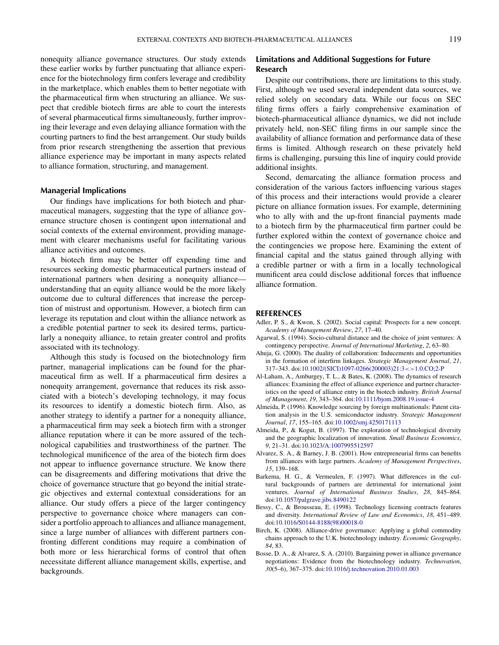nonequity alliance governance structures. Our study extends these earlier works by further punctuating that alliance experience for the biotechnology firm confers leverage and credibility in the marketplace, which enables them to better negotiate with the pharmaceutical firm when structuring an alliance. We suspect that credible biotech firms are able to court the interests of several pharmaceutical firms simultaneously, further improving their leverage and even delaying alliance formation with the courting partners to find the best arrangement. Our study builds from prior research strengthening the assertion that previous alliance experience may be important in many aspects related to alliance formation, structuring, and management.

## **Managerial Implications**

Our findings have implications for both biotech and pharmaceutical managers, suggesting that the type of alliance governance structure chosen is contingent upon international and social contexts of the external environment, providing management with clearer mechanisms useful for facilitating various alliance activities and outcomes.

A biotech firm may be better off expending time and resources seeking domestic pharmaceutical partners instead of international partners when desiring a nonequity alliance understanding that an equity alliance would be the more likely outcome due to cultural differences that increase the perception of mistrust and opportunism. However, a biotech firm can leverage its reputation and clout within the alliance network as a credible potential partner to seek its desired terms, particularly a nonequity alliance, to retain greater control and profits associated with its technology.

Although this study is focused on the biotechnology firm partner, managerial implications can be found for the pharmaceutical firm as well. If a pharmaceutical firm desires a nonequity arrangement, governance that reduces its risk associated with a biotech's developing technology, it may focus its resources to identify a domestic biotech firm. Also, as another strategy to identify a partner for a nonequity alliance, a pharmaceutical firm may seek a biotech firm with a stronger alliance reputation where it can be more assured of the technological capabilities and trustworthiness of the partner. The technological munificence of the area of the biotech firm does not appear to influence governance structure. We know there can be disagreements and differing motivations that drive the choice of governance structure that go beyond the initial strategic objectives and external contextual considerations for an alliance. Our study offers a piece of the larger contingency perspective to governance choice where managers can consider a portfolio approach to alliances and alliance management, since a large number of alliances with different partners confronting different conditions may require a combination of both more or less hierarchical forms of control that often necessitate different alliance management skills, expertise, and backgrounds.

## **Limitations and Additional Suggestions for Future Research**

Despite our contributions, there are limitations to this study. First, although we used several independent data sources, we relied solely on secondary data. While our focus on SEC filing firms offers a fairly comprehensive examination of biotech-pharmaceutical alliance dynamics, we did not include privately held, non-SEC filing firms in our sample since the availability of alliance formation and performance data of these firms is limited. Although research on these privately held firms is challenging, pursuing this line of inquiry could provide additional insights.

Second, demarcating the alliance formation process and consideration of the various factors influencing various stages of this process and their interactions would provide a clearer picture on alliance formation issues. For example, determining who to ally with and the up-front financial payments made to a biotech firm by the pharmaceutical firm partner could be further explored within the context of governance choice and the contingencies we propose here. Examining the extent of financial capital and the status gained through allying with a credible partner or with a firm in a locally technological munificent area could disclose additional forces that influence alliance formation.

## **REFERENCES**

- <span id="page-10-9"></span>Adler, P. S., & Kwon, S. (2002). Social capital: Prospects for a new concept. *Academy of Management Review*, *27*, 17–40.
- <span id="page-10-6"></span>Agarwal, S. (1994). Socio-cultural distance and the choice of joint ventures: A contingency perspective. *Journal of International Marketing*, *2*, 63–80.
- <span id="page-10-2"></span>Ahuja, G. (2000). The duality of collaboration: Inducements and opportunities in the formation of interfirm linkages. *Strategic Management Journal*, *21*, 317–343. doi[:10.1002/\(SICI\)1097-0266\(200003\)21:3](http://dx.doi.org/10.1002/(SICI)1097-0266(200003)21:3\gdef yes{no}$<$\gdef \ {$<$}\gdef no{no}\gdef yes{yes}\gdef \ \gdef \ {\ }\gdef no{no}\gdef yes{yes}{$<$\gdef \ {$<$}\gdef no{no}\gdef yes{yes}}\gdef yes{no}$>$\gdef \ {$>$}\gdef no{no}\gdef yes{yes}\gdef \ \gdef \ {\ }\gdef no{no}\gdef yes{yes}{$>$\gdef \ {$>$}\gdef no{no}\gdef yes{yes}}1.0.CO;2-P)*<>*1.0.CO;2-P
- <span id="page-10-1"></span>Al-Laham, A., Amburgey, T. L., & Bates, K. (2008). The dynamics of research alliances: Examining the effect of alliance experience and partner characteristics on the speed of alliance entry in the biotech industry. *British Journal of Management*, *19*, 343–364. doi[:10.1111/bjom.2008.19.issue-4](http://dx.doi.org/10.1111/bjom.2008.19.issue-4)
- <span id="page-10-7"></span>Almeida, P. (1996). Knowledge sourcing by foreign multinationals: Patent citation analysis in the U.S. semiconductor industry. *Strategic Management Journal*, *17*, 155–165. doi[:10.1002/smj.4250171113](http://dx.doi.org/10.1002/smj.4250171113)
- <span id="page-10-8"></span>Almeida, P., & Kogut, B. (1997). The exploration of technological diversity and the geographic localization of innovation. *Small Business Economics*, *9*, 21–31. doi[:10.1023/A:1007995512597](http://dx.doi.org/10.1023/A:1007995512597)
- <span id="page-10-4"></span>Alvarez, S. A., & Barney, J. B. (2001). How entrepreneurial firms can benefits from alliances with large partners. *Academy of Management Perspectives*, *15*, 139–168.
- <span id="page-10-5"></span>Barkema, H. G., & Vermeulen, F. (1997). What differences in the cultural backgrounds of partners are detrimental for international joint ventures. *Journal of International Business Studies*, *28*, 845–864. doi[:10.1057/palgrave.jibs.8490122](http://dx.doi.org/10.1057/palgrave.jibs.8490122)
- <span id="page-10-0"></span>Bessy, C., & Brousseau, E. (1998). Technology licensing contracts features and diversity. *International Review of Law and Economics*, *18*, 451–489. doi[:10.1016/S0144-8188\(98\)00018-0](http://dx.doi.org/10.1016/S0144-8188(98)00018-0)
- <span id="page-10-10"></span>Birch, K. (2008). Alliance-drive governance: Applying a global commodity chains approach to the U.K. biotechnology industry. *Economic Geography*, *84*, 83.
- <span id="page-10-3"></span>Bosse, D. A., & Alvarez, S. A. (2010). Bargaining power in alliance governance negotiations: Evidence from the biotechnology industry. *Technovation*, *30*(5–6), 367–375. doi[:10.1016/j.technovation.2010.01.003](http://dx.doi.org/10.1016/j.technovation.2010.01.003)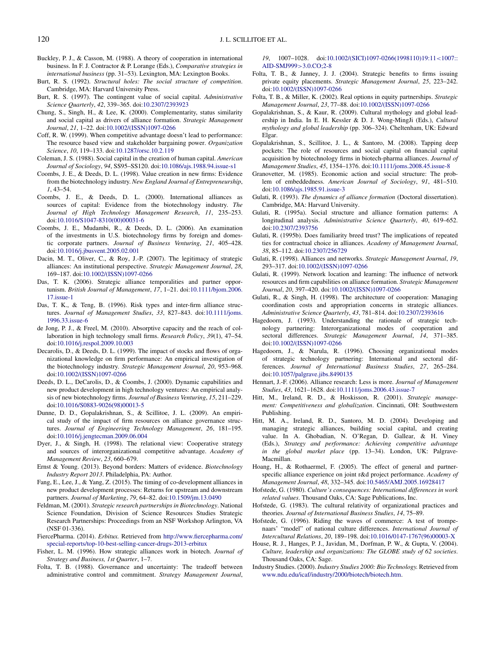- <span id="page-11-22"></span>Buckley, P. J., & Casson, M. (1988). A theory of cooperation in international business. In F. J. Contractor & P. Lorange (Eds.), *Comparative strategies in international business* (pp. 31–53). Lexington, MA: Lexington Books.
- <span id="page-11-34"></span>Burt, R. S. (1992). *Structural holes: The social structure of competition*. Cambridge, MA: Harvard University Press.
- <span id="page-11-35"></span>Burt, R. S. (1997). The contingent value of social capital. *Administrative Science Quarterly*, *42*, 339–365. doi[:10.2307/2393923](http://dx.doi.org/10.2307/2393923)
- <span id="page-11-7"></span>Chung, S., Singh, H., & Lee, K. (2000). Complementarity, status similarity and social capital as drivers of alliance formation. *Strategic Management Journal*, *21*, 1–22. doi[:10.1002/\(ISSN\)1097-0266](http://dx.doi.org/10.1002/(ISSN)1097-0266)
- <span id="page-11-20"></span>Coff, R. W. (1999). When competitive advantage doesn't lead to performance: The resource based view and stakeholder bargaining power. *Organization Science*, *10*, 119–133. doi[:10.1287/orsc.10.2.119](http://dx.doi.org/10.1287/orsc.10.2.119)
- <span id="page-11-32"></span>Coleman, J. S. (1988). Social capital in the creation of human capital. *American Journal of Sociology*, *94*, SS95–SS120. doi[:10.1086/ajs.1988.94.issue-s1](http://dx.doi.org/10.1086/ajs.1988.94.issue-s1)
- <span id="page-11-19"></span>Coombs, J. E., & Deeds, D. L. (1998). Value creation in new firms: Evidence from the biotechnology industry. *New England Journal of Entrepreneurship*, *1*, 43–54.
- <span id="page-11-8"></span>Coombs, J. E., & Deeds, D. L. (2000). International alliances as sources of capital: Evidence from the biotechnology industry. *The Journal of High Technology Management Research*, *11*, 235–253. doi[:10.1016/S1047-8310\(00\)00031-6](http://dx.doi.org/10.1016/S1047-8310(00)00031-6)
- <span id="page-11-15"></span>Coombs, J. E., Mudambi, R., & Deeds, D. L. (2006). An examination of the investments in U.S. biotechnology firms by foreign and domestic corporate partners. *Journal of Business Venturing*, *21*, 405–428. doi[:10.1016/j.jbusvent.2005.02.001](http://dx.doi.org/10.1016/j.jbusvent.2005.02.001)
- <span id="page-11-13"></span>Dacin, M. T., Oliver, C., & Roy, J.-P. (2007). The legitimacy of strategic alliances: An institutional perspective. *Strategic Management Journal*, *28*, 169–187. doi[:10.1002/\(ISSN\)1097-0266](http://dx.doi.org/10.1002/(ISSN)1097-0266)
- <span id="page-11-28"></span>Das, T. K. (2006). Strategic alliance temporalities and partner opportunism. *British Journal of Management*, *17*, 1–21. doi:10.1111/bjom.2006. 17.issue-1
- <span id="page-11-11"></span>Das, T. K., & Teng, B. (1996). Risk types and inter-firm alliance structures. *Journal of Management Studies*, *33*, 827–843. doi:10.1111/joms. 1996.33.issue-6
- <span id="page-11-33"></span>de Jong, P. J., & Freel, M. (2010). Absorptive capacity and the reach of collaboration in high technology small firms. *Research Policy*, *39*(1), 47–54. doi[:10.1016/j.respol.2009.10.003](http://dx.doi.org/10.1016/j.respol.2009.10.003)
- <span id="page-11-31"></span>Decarolis, D., & Deeds, D. L. (1999). The impact of stocks and flows of organizational knowledge on firm performance: An empirical investigation of the biotechnology industry. *Strategic Management Journal*, *20*, 953–968. doi[:10.1002/\(ISSN\)1097-0266](http://dx.doi.org/10.1002/(ISSN)1097-0266)
- <span id="page-11-3"></span>Deeds, D. L., DeCarolis, D., & Coombs, J. (2000). Dynamic capabilities and new product development in high technology ventures: An empirical analysis of new biotechnology firms. *Journal of Business Venturing*, *15*, 211–229. doi[:10.1016/S0883-9026\(98\)00013-5](http://dx.doi.org/10.1016/S0883-9026(98)00013-5)
- <span id="page-11-10"></span>Dunne, D. D., Gopalakrishnan, S., & Scillitoe, J. L. (2009). An empirical study of the impact of firm resources on alliance governance structures. *Journal of Engineering Technology Management*, *26*, 181–195. doi[:10.1016/j.jengtecman.2009.06.004](http://dx.doi.org/10.1016/j.jengtecman.2009.06.004)
- <span id="page-11-17"></span>Dyer, J., & Singh, H. (1998). The relational view: Cooperative strategy and sources of interorganizational competitive advantage. *Academy of Management Review*, *23*, 660–679.
- <span id="page-11-4"></span>Ernst & Young. (2013). Beyond borders: Matters of evidence. *Biotechnology Industry Report 2013*. Philadelphia, PA: Author.
- <span id="page-11-16"></span>Fang, E., Lee, J., & Yang, Z. (2015). The timing of co-development alliances in new product development processes: Returns for upstream and downstream partners. *Journal of Marketing*, *79*, 64–82. doi[:10.1509/jm.13.0490](http://dx.doi.org/10.1509/jm.13.0490)
- <span id="page-11-1"></span>Feldman, M. (2001). *Strategic research partnerships in Biotechnology*. National Science Foundation, Division of Science Resources Studies Strategic Research Partnerships: Proceedings from an NSF Workshop Arlington, VA (NSF 01-336).
- <span id="page-11-5"></span>FiercePharma. (2014). *Erbitux.* Retrieved from [http://www.fiercepharma.com/](http://www.fiercepharma.com/special-reports/top-10-best-selling-cancer-drugs-2013-erbitux) [special-reports/top-10-best-selling-cancer-drugs-2013-erbitux](http://www.fiercepharma.com/special-reports/top-10-best-selling-cancer-drugs-2013-erbitux)
- <span id="page-11-2"></span>Fisher, L. M. (1996). How strategic alliances work in biotech. *Journal of Strategy and Business, 1st Quarter*, 1–7.
- <span id="page-11-6"></span>Folta, T. B. (1988). Governance and uncertainty: The tradeoff between administrative control and commitment. *Strategy Management Journal*,

*19*, 1007–1028. doi:10.1002/(SICI)1097-0266(1998110)19:11*<*1007:: AID-SMJ999*>*3.0.CO;2-8

- <span id="page-11-23"></span>Folta, T. B., & Janney, J. J. (2004). Strategic benefits to firms issuing private equity placements. *Strategic Management Journal*, *25*, 223–242. doi[:10.1002/\(ISSN\)1097-0266](http://dx.doi.org/10.1002/(ISSN)1097-0266)
- <span id="page-11-21"></span>Folta, T. B., & Miller, K. (2002). Real options in equity partnerships. *Strategic Management Journal*, *23*, 77–88. doi[:10.1002/\(ISSN\)1097-0266](http://dx.doi.org/10.1002/(ISSN)1097-0266)
- Gopalakrishnan, S., & Kaur, R. (2009). Cultural mythology and global leadership in India. In E. H. Kessler & D. J. Wong-MingJi (Eds.), *Cultural mythology and global leadership* (pp. 306–324). Cheltenham, UK: Edward Elgar.
- <span id="page-11-42"></span>Gopalakrishnan, S., Scillitoe, J. L., & Santoro, M. (2008). Tapping deep pockets: The role of resources and social capital on financial capital acquisition by biotechnology firms in biotech-pharma alliances. *Journal of Management Studies*, *45*, 1354–1376. doi[:10.1111/joms.2008.45.issue-8](http://dx.doi.org/10.1111/joms.2008.45.issue-8)
- <span id="page-11-38"></span>Granovetter, M. (1985). Economic action and social structure: The problem of embeddedness. *American Journal of Sociology*, *91*, 481–510. doi[:10.1086/ajs.1985.91.issue-3](http://dx.doi.org/10.1086/ajs.1985.91.issue-3)
- <span id="page-11-37"></span>Gulati, R. (1993). *The dynamics of alliance formation* (Doctoral dissertation). Cambridge, MA: Harvard University.
- <span id="page-11-9"></span>Gulati, R. (1995a). Social structure and alliance formation patterns: A longitudinal analysis. *Administrative Science Quarterly*, *40*, 619–652. doi[:10.2307/2393756](http://dx.doi.org/10.2307/2393756)
- <span id="page-11-12"></span>Gulati, R. (1995b). Does familiarity breed trust? The implications of repeated ties for contractual choice in alliances. *Academy of Management Journal*, *38*, 85–112. doi[:10.2307/256729](http://dx.doi.org/10.2307/256729)
- <span id="page-11-18"></span>Gulati, R. (1998). Alliances and networks. *Strategic Management Journal*, *19*, 293–317. doi[:10.1002/\(ISSN\)1097-0266](http://dx.doi.org/10.1002/(ISSN)1097-0266)
- <span id="page-11-36"></span>Gulati, R. (1999). Network location and learning: The influence of network resources and firm capabilities on alliance formation. *Strategic Management Journal*, *20*, 397–420. doi[:10.1002/\(ISSN\)1097-0266](http://dx.doi.org/10.1002/(ISSN)1097-0266)
- <span id="page-11-14"></span>Gulati, R., & Singh, H. (1998). The architecture of cooperation: Managing coordination costs and appropriation concerns in strategic alliances. *Administrative Science Quarterly*, *43*, 781–814. doi[:10.2307/2393616](http://dx.doi.org/10.2307/2393616)
- <span id="page-11-0"></span>Hagedoorn, J. (1993). Understanding the rationale of strategic technology partnering: Interorganizational modes of cooperation and sectoral differences. *Strategic Management Journal*, *14*, 371–385. doi[:10.1002/\(ISSN\)1097-0266](http://dx.doi.org/10.1002/(ISSN)1097-0266)
- <span id="page-11-24"></span>Hagedoorn, J., & Narula, R. (1996). Choosing organizational modes of strategic technology partnering: International and sectoral differences. *Journal of International Business Studies*, *27*, 265–284. doi[:10.1057/palgrave.jibs.8490135](http://dx.doi.org/10.1057/palgrave.jibs.8490135)
- <span id="page-11-30"></span>Hennart, J.-F. (2006). Alliance research: Less is more. *Journal of Management Studies*, *43*, 1621–1628. doi[:10.1111/joms.2006.43.issue-7](http://dx.doi.org/10.1111/joms.2006.43.issue-7)
- <span id="page-11-40"></span>Hitt, M., Ireland, R. D., & Hoskisson, R. (2001). *Strategic management: Competitiveness and globalization*. Cincinnati, OH: Southwestern Publishing.
- <span id="page-11-39"></span>Hitt, M. A., Ireland, R. D., Santoro, M. D. (2004). Developing and managing strategic alliances, building social capital, and creating value. In A. Ghobadian, N. O'Regan, D. Gallear, & H. Viney (Eds.), *Strategy and performance: Achieving competitive advantage in the global market place* (pp. 13–34). London, UK: Palgrave-Macmillan.
- <span id="page-11-43"></span>Hoang, H., & Rothaermel, F. (2005). The effect of general and partnerspecific alliance experience on joint r&d project performance. *Academy of Management Journal*, *48*, 332–345. doi[:10.5465/AMJ.2005.16928417](http://dx.doi.org/10.5465/AMJ.2005.16928417)
- <span id="page-11-26"></span>Hofstede, G. (1980). *Culture's consequences: International differences in work related values*. Thousand Oaks, CA: Sage Publications, Inc.
- <span id="page-11-25"></span>Hofstede, G. (1983). The cultural relativity of organizational practices and theories. *Journal of International Business Studies*, *14*, 75–89.
- <span id="page-11-29"></span>Hofstede, G. (1996). Riding the waves of commerce: A test of trompenaars' "model" of national culture differences. *International Journal of Intercultural Relations*, *20*, 189–198. doi[:10.1016/0147-1767\(96\)00003-X](http://dx.doi.org/10.1016/0147-1767(96)00003-X)
- <span id="page-11-27"></span>House, R. J., Hanges, P. J., Javidan, M., Dorfman, P. W., & Gupta, V. (2004). *Culture, leadership and organizations: The GLOBE study of 62 societies*. Thousand Oaks, CA: Sage.
- <span id="page-11-41"></span>Industry Studies. (2000). *Industry Studies 2000: Bio Technology.* Retrieved from [www.ndu.edu/icaf/industry/2000/biotech/biotech.htm.](www.ndu.edu/icaf/industry/2000/biotech/biotech.htm)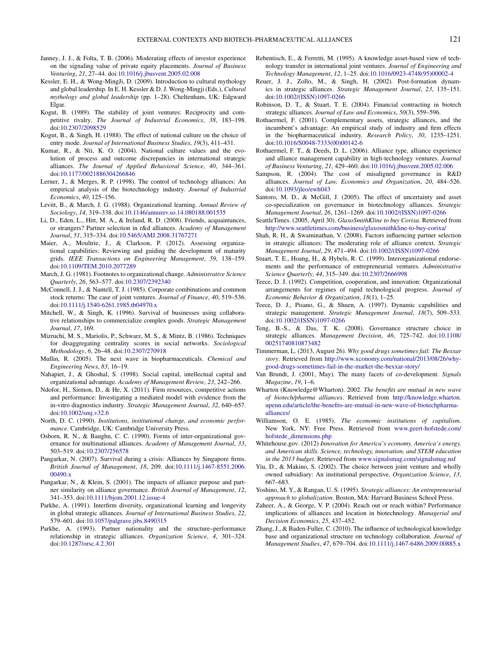- <span id="page-12-26"></span>Janney, J. J., & Folta, T. B. (2006). Moderating effects of investor experience on the signaling value of private equity placements. *Journal of Business Venturing*, *21*, 27–44. doi[:10.1016/j.jbusvent.2005.02.008](http://dx.doi.org/10.1016/j.jbusvent.2005.02.008)
- <span id="page-12-28"></span>Kessler, E. H., & Wong-MingJi, D. (2009). Introduction to cultural mythology and global leadership. In E. H. Kessler & D. J. Wong-Mingji (Eds.), *Cultural mythology and global leadership* (pp. 1–28). Cheltenham, UK: Edgward Elgar.
- <span id="page-12-24"></span>Kogut, B. (1989). The stability of joint ventures: Reciprocity and competitive rivalry. *The Journal of Industrial Economics*, *38*, 183–198. doi[:10.2307/2098529](http://dx.doi.org/10.2307/2098529)
- <span id="page-12-40"></span>Kogut, B., & Singh, H. (1988). The effect of national culture on the choice of entry mode. *Journal of International Business Studies*, *19*(3), 411–431.
- <span id="page-12-29"></span>Kumar, R., & Nti, K. O. (2004). National culture values and the evolution of process and outcome discrepancies in international strategic alliances. *The Journal of Applied Behavioral Science*, *40*, 344–361. doi[:10.1177/0021886304266846](http://dx.doi.org/10.1177/0021886304266846)
- <span id="page-12-22"></span>Lerner, J., & Merges, R. P. (1998). The control of technology alliances: An empirical analysis of the biotechnology industry. *Journal of Industrial Economics*, *40*, 125–156.
- <span id="page-12-37"></span>Levitt, B., & March, J. G. (1988). Organizational learning. *Annual Review of Sociology*, *14*, 319–338. doi[:10.1146/annurev.so.14.080188.001535](http://dx.doi.org/10.1146/annurev.so.14.080188.001535)
- <span id="page-12-18"></span>Li, D., Eden, L., Hitt, M. A., & Ireland, R. D. (2008). Friends, acquaintances, or strangers? Partner selection in r&d alliances. *Academy of Management Journal*, *51*, 315–334. doi[:10.5465/AMJ.2008.31767271](http://dx.doi.org/10.5465/AMJ.2008.31767271)
- <span id="page-12-1"></span>Maier, A., Moultrie, J., & Clarkson, P. (2012). Assessing organizational capabilities: Reviewing and guiding the development of maturity grids. *IEEE Transactions on Engineering Management*, *59*, 138–159. doi[:10.1109/TEM.2010.2077289](http://dx.doi.org/10.1109/TEM.2010.2077289)
- <span id="page-12-32"></span>March, J. G. (1981). Footnotes to organizational change. *Administrative Science Quarterly*, *26*, 563–577. doi[:10.2307/2392340](http://dx.doi.org/10.2307/2392340)
- <span id="page-12-14"></span>McConnell, J. J., & Nantell, T. J. (1985). Corporate combinations and common stock returns: The case of joint ventures. *Journal of Finance*, *40*, 519–536. doi[:10.1111/j.1540-6261.1985.tb04970.x](http://dx.doi.org/10.1111/j.1540-6261.1985.tb04970.x)
- <span id="page-12-15"></span>Mitchell, W., & Singh, K. (1996). Survival of businesses using collaborative relationships to commercialize complex goods. *Strategic Management Journal*, *17*, 169.
- <span id="page-12-35"></span>Mizruchi, M. S., Mariolis, P., Schwarz, M. S., & Mintz, B. (1986). Techniques for disaggregating centrality scores in social networks. *Sociological Methodology*, *6*, 26–48. doi[:10.2307/270918](http://dx.doi.org/10.2307/270918)
- <span id="page-12-5"></span>Mullin, R. (2005). The next wave in biopharmaceuticals. *Chemical and Engineering News*, *83*, 16–19.
- <span id="page-12-36"></span>Nahapiet, J., & Ghoshal, S. (1998). Social capital, intellectual capital and organizational advantage. *Academy of Management Review*, *23*, 242–266.
- <span id="page-12-2"></span>Ndofor, H., Sirmon, D., & He, X. (2011). Firm resources, competitive actions and performance: Investigating a mediated model with evidence from the in-vitro diagnostics industry. *Strategic Management Journal*, *32*, 640–657. doi[:10.1002/smj.v32.6](http://dx.doi.org/10.1002/smj.v32.6)
- North, D. C. (1990). *Institutions, institutional change, and economic performance*. Cambridge, UK: Cambridge University Press.
- <span id="page-12-16"></span>Osborn, R. N., & Baughn, C. C. (1990). Forms of inter-organizational governance for multinational alliances. *Academy of Management Journal*, *33*, 503–519. doi[:10.2307/256578](http://dx.doi.org/10.2307/256578)
- <span id="page-12-27"></span>Pangarkar, N. (2007). Survival during a crisis: Alliances by Singapore firms. *British Journal of Management*, *18*, 209. doi:10.1111/j.1467-8551.2006. 00490.x
- <span id="page-12-13"></span>Pangarkar, N., & Klein, S. (2001). The impacts of alliance purpose and partner similarity on alliance governance. *British Journal of Management*, *12*, 341–353. doi[:10.1111/bjom.2001.12.issue-4](http://dx.doi.org/10.1111/bjom.2001.12.issue-4)
- <span id="page-12-30"></span>Parkhe, A. (1991). Interfirm diversity, organizational learning and longevity in global strategic alliances. *Journal of International Business Studies*, *22*, 579–601. doi[:10.1057/palgrave.jibs.8490315](http://dx.doi.org/10.1057/palgrave.jibs.8490315)
- <span id="page-12-23"></span>Parkhe, A. (1993). Partner nationality and the structure–performance relationship in strategic alliances. *Organization Science*, *4*, 301–324. doi[:10.1287/orsc.4.2.301](http://dx.doi.org/10.1287/orsc.4.2.301)
- <span id="page-12-4"></span>Rebentisch, E., & Ferretti, M. (1995). A knowledge asset-based view of technology transfer in international joint ventures. *Journal of Engineering and Technology Management*, *12*, 1–25. doi[:10.1016/0923-4748\(95\)00002-4](http://dx.doi.org/10.1016/0923-4748(95)00002-4)
- <span id="page-12-41"></span>Reuer, J. J., Zollo, M., & Singh, H. (2002). Post-formation dynamics in strategic alliances. *Strategic Management Journal*, *23*, 135–151. doi[:10.1002/\(ISSN\)1097-0266](http://dx.doi.org/10.1002/(ISSN)1097-0266)
- <span id="page-12-38"></span>Robinson, D. T., & Stuart, T. E. (2004). Financial contracting in biotech strategic alliances. *Journal of Law and Economics*, *50*(3), 559–596.
- <span id="page-12-6"></span>Rothaermel, F. (2001). Complementary assets, strategic alliances, and the incumbent's advantage: An empirical study of industry and firm effects in the biopharmaceutical industry. *Research Policy*, *30*, 1235–1251. doi[:10.1016/S0048-7333\(00\)00142-6](http://dx.doi.org/10.1016/S0048-7333(00)00142-6)
- <span id="page-12-7"></span>Rothaermel, F. T., & Deeds, D. L. (2006). Alliance type, alliance experience and alliance management capability in high-technology ventures. *Journal of Business Venturing*, *21*, 429–460. doi[:10.1016/j.jbusvent.2005.02.006](http://dx.doi.org/10.1016/j.jbusvent.2005.02.006)
- <span id="page-12-17"></span>Sampson, R. (2004). The cost of misaligned governance in R&D alliances. *Journal of Law, Economics and Organization*, *20*, 484–526. doi[:10.1093/jleo/ewh043](http://dx.doi.org/10.1093/jleo/ewh043)
- Santoro, M. D., & McGill, J. (2005). The effect of uncertainty and asset co-specialization on governance in biotechnology alliances. *Strategic Management Journal*, *26*, 1261–1269. doi[:10.1002/\(ISSN\)1097-0266](http://dx.doi.org/10.1002/(ISSN)1097-0266)
- <span id="page-12-9"></span>SeattleTimes. (2005, April 30). *GlaxoSmithKline to buy Corixa.* Retrieved from <http://www.seattletimes.com/business/glaxosmithkline-to-buy-corixa/>
- <span id="page-12-19"></span>Shah, R. H., & Swaminathan, V. (2008). Factors influencing partner selection in strategic alliances: The moderating role of alliance context. *Strategic Management Journal*, *29*, 471–494. doi[:10.1002/\(ISSN\)1097-0266](http://dx.doi.org/10.1002/(ISSN)1097-0266)
- <span id="page-12-34"></span>Stuart, T. E., Hoang, H., & Hybels, R. C. (1999). Interorganizational endorsements and the performance of entrepreneurial ventures. *Administrative Science Quarterly*, *44*, 315–349. doi[:10.2307/2666998](http://dx.doi.org/10.2307/2666998)
- <span id="page-12-0"></span>Teece, D. J. (1992). Competition, cooperation, and innovation: Organizational arrangements for regimes of rapid technological progress. *Journal of Economic Behavior & Organization*, *18*(1), 1–25.
- <span id="page-12-33"></span>Teece, D. J., Pisano, G., & Shuen, A. (1997). Dynamic capabilities and strategic management. *Strategic Management Journal*, *18*(7), 509–533. doi[:10.1002/\(ISSN\)1097-0266](http://dx.doi.org/10.1002/(ISSN)1097-0266)
- <span id="page-12-20"></span>Teng, B.-S., & Das, T. K. (2008). Governance structure choice in strategic alliances. *[Management Decision](http://dx.doi.org/10.1108/\gdef yes{no}\penalty \z@ \gdef \ {\penalty \z@ }\gdef no{no}\gdef yes{yes}\gdef \ \gdef \ {\ }\gdef no{no}\gdef yes{yes}{\penalty \z@ \gdef \ {\penalty \z@ }\gdef no{no}\gdef yes{yes}}00251740810873482)*, *46*, 725–742. doi:10.1108/ 00251740810873482
- <span id="page-12-10"></span>Timmerman, L. (2013, August 26). *Why good drugs sometimes fail: The Bexxar story*. Retrieved from [http://www.xconomy.com/national/2013/08/26/why](http://www.xconomy.com/national/2013/08/26/why-good-drugs-sometimes-fail-in-the-market-the-bexxar-story/)[good-drugs-sometimes-fail-in-the-market-the-bexxar-story/](http://www.xconomy.com/national/2013/08/26/why-good-drugs-sometimes-fail-in-the-market-the-bexxar-story/)
- <span id="page-12-3"></span>Van Brundt, J. (2001, May). The many facets of co-development. *Signals Magazine*, *19*, 1–6.
- <span id="page-12-8"></span>Wharton (Knowledge@Wharton). 2002. *The benefits are mutual in new wave of biotech/pharma alliances*. Retrieved from [http://knowledge.wharton.](http://knowledge.wharton.upenn.edu/article/the-benefits-are-mutual-in-new-wave-of-biotechpharma-alliances/) [upenn.edu/article/the-benefits-are-mutual-in-new-wave-of-biotechpharma](http://knowledge.wharton.upenn.edu/article/the-benefits-are-mutual-in-new-wave-of-biotechpharma-alliances/)[alliances/](http://knowledge.wharton.upenn.edu/article/the-benefits-are-mutual-in-new-wave-of-biotechpharma-alliances/)
- <span id="page-12-11"></span>Williamson, O. E. (1985). *The economic institutions of capitalism*. New York, NY: Free Press. Retrieved from [www.geert-hofstede.com/](www.geert-hofstede.com/hofstede_dimensions.php) [hofstede\\_dimensions.php](www.geert-hofstede.com/hofstede_dimensions.php)
- <span id="page-12-39"></span>Whitehouse.gov. (2012) *Innovation for America's economy, America's energy, and American skills. Science, technology, innovation, and STEM education in the 2013 budget*. Retrieved from <www.signalsmag.com/signalsmag.nsf>
- <span id="page-12-21"></span>Yiu, D., & Makino, S. (2002). The choice between joint venture and wholly owned subsidiary: An institutional perspective. *Organization Science*, *13*, 667–683.
- <span id="page-12-25"></span>Yoshino, M. Y., & Rangan, U. S. (1995). *Strategic alliances: An entrepreneurial approach to globalization*. Boston, MA: Harvard Business School Press.
- <span id="page-12-31"></span>Zaheer, A., & George, V. P. (2004). Reach out or reach within? Performance implications of alliances and location in biotechnology. *Managerial and Decision Economics*, *25*, 437–452.
- <span id="page-12-12"></span>Zhang, J., & Baden-Fuller, C. (2010). The influence of technological knowledge base and organizational structure on technology collaboration. *Journal of Management Studies*, *47*, 679–704. doi[:10.1111/j.1467-6486.2009.00885.x](http://dx.doi.org/10.1111/\gdef yes{no}\penalty \z@ \gdef \ {\penalty \z@ }\gdef no{no}\gdef yes{yes}\gdef \ \gdef \ {\ }\gdef no{no}\gdef yes{yes}{\penalty \z@ \gdef \ {\penalty \z@ }\gdef no{no}\gdef yes{yes}}j.1467-\gdef yes{no}\penalty \z@ \gdef \ {\penalty \z@ }\gdef no{no}\gdef yes{yes}\gdef \ \gdef \ {\ }\gdef no{no}\gdef yes{yes}{\penalty \z@ \gdef \ {\penalty \z@ }\gdef no{no}\gdef yes{yes}}6486.2009.00885.x)